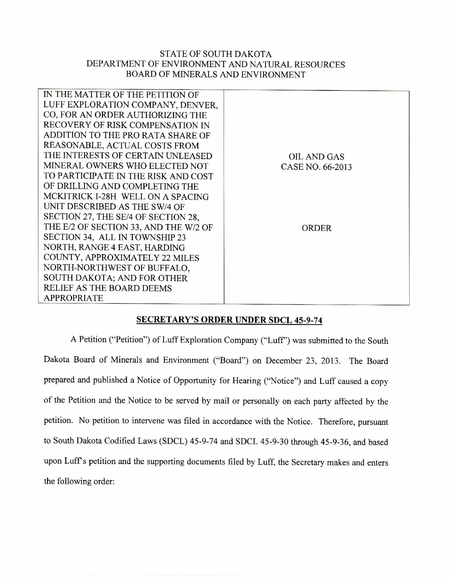## STATE OF SOUTH DAKOTA DEPARTMENT OF ENVIRONMENT AND NATURAL RESOURCES BOARD OF MINERALS AND ENVIRONMENT

| IN THE MATTER OF THE PETITION OF      |                    |
|---------------------------------------|--------------------|
| LUFF EXPLORATION COMPANY, DENVER,     |                    |
| CO, FOR AN ORDER AUTHORIZING THE      |                    |
| RECOVERY OF RISK COMPENSATION IN      |                    |
| ADDITION TO THE PRO RATA SHARE OF     |                    |
| REASONABLE, ACTUAL COSTS FROM         |                    |
| THE INTERESTS OF CERTAIN UNLEASED     | <b>OIL AND GAS</b> |
| MINERAL OWNERS WHO ELECTED NOT        | CASE NO. 66-2013   |
| TO PARTICIPATE IN THE RISK AND COST   |                    |
| OF DRILLING AND COMPLETING THE        |                    |
| MCKITRICK I-28H WELL ON A SPACING     |                    |
| UNIT DESCRIBED AS THE SW/4 OF         |                    |
| SECTION 27, THE SE/4 OF SECTION 28,   |                    |
| THE E/2 OF SECTION 33, AND THE W/2 OF | <b>ORDER</b>       |
| SECTION 34, ALL IN TOWNSHIP 23        |                    |
| NORTH, RANGE 4 EAST, HARDING          |                    |
| COUNTY, APPROXIMATELY 22 MILES        |                    |
| NORTH-NORTHWEST OF BUFFALO.           |                    |
| SOUTH DAKOTA; AND FOR OTHER           |                    |
| RELIEF AS THE BOARD DEEMS             |                    |
| <b>APPROPRIATE</b>                    |                    |
|                                       |                    |

## **SECRETARY'S ORDER** UNDER SDCL 45-9-74

A Petition ("Petition") of Luff Exploration Company ("Luff') was submitted to the South Dakota Board of Minerals and Environment ("Board") on December 23, 2013. The Board prepared and published a Notice of Opportunity for Hearing ("Notice") and Luff caused a copy of the Petition and the Notice to be served by mail or personally on each party affected by the petition. No petition to intervene was filed in accordance with the Notice. Therefore, pursuant to South Dakota Codified Laws (SDCL) 45-9-74 and SDCL 45-9-30 through 45-9-36, and based upon Luff's petition and the supporting documents filed by Luff, the Secretary makes and enters the following order: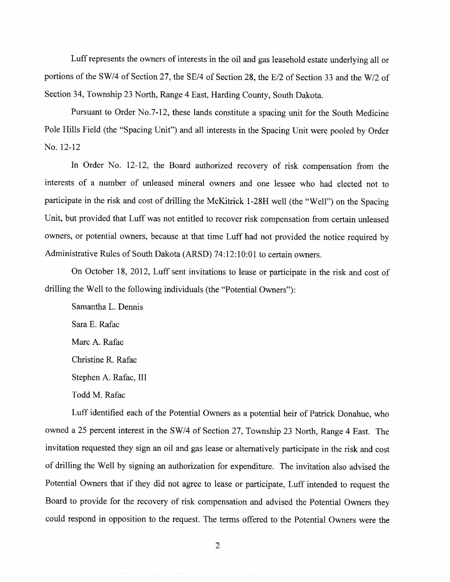Luff represents the owners of interests in the oil and gas leasehold estate underlying all or portions of the SW/4 of Section 27, the SE/4 of Section 28, the E/2 of Section 33 and the W/2 of Section 34, Township 23 North, Range 4 East, Harding County, South Dakota.

Pursuant to Order No.7-12, these lands constitute a spacing unit for the South Medicine Pole Hills Field (the "Spacing Unit") and all interests in the Spacing Unit were pooled by Order No. 12-12

In Order No. 12-12, the Board authorized recovery of risk compensation from the interests of a number of unleased mineral owners and one lessee who had elected not to participate in the risk and cost of drilling the McKitrick 1-28H well (the "Well") on the Spacing Unit, but provided that Luff was not entitled to recover risk compensation from certain unleased owners, or potential owners, because at that time Luff had not provided the notice required by Administrative Rules of South Dakota (ARSD) 74:12:10:01 to certain owners.

On October 18, 2012, Luff sent invitations to lease or participate in the risk and cost of drilling the Well to the following individuals (the "Potential Owners"):

Samantha L. Dennis Sara E. Rafac Marc A. Rafac Christine R. Rafac Stephen A. Rafac, III Todd M. Rafac

Luff identified each of the Potential Owners as a potential heir of Patrick Donahue, who owned a 25 percent interest in the SW/4 of Section 27, Township 23 North, Range 4 East. The invitation requested they sign an oil and gas lease or alternatively participate in the risk and cost of drilling the Well by signing an authorization for expenditure. The invitation also advised the Potential Owners that if they did not agree to lease or participate, Luff intended to request the Board to provide for the recovery of risk compensation and advised the Potential Owners they could respond in opposition to the request. The terms offered to the Potential Owners were the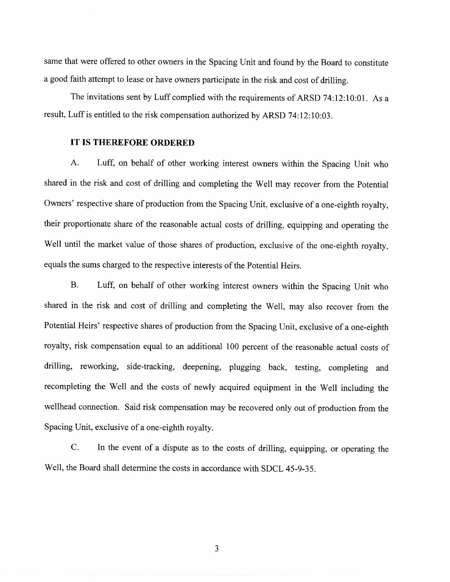same that were offered to other owners in the Spacing Unit and found by the Board to constitute a good faith attempt to lease or have owners participate in the risk and cost of drilling.

The invitations sent by Luff complied with the requirements of ARSD 74:12:10:01. As a result, Luff is entitled to the risk compensation authorized by ARSD 74:12:10:03.

## **IT IS THEREFORE ORDERED**

A. Luff, on behalf of other working interest owners within the Spacing Unit who shared in the risk and cost of drilling and completing the Well may recover from the Potential Owners' respective share of production from the Spacing Unit, exclusive of a one-eighth royalty, their proportionate share of the reasonable actual costs of drilling, equipping and operating the Well until the market value of those shares of production, exclusive of the one-eighth royalty, equals the sums charged to the respective interests of the Potential Heirs.

B. Luff, on behalf of other working interest owners within the Spacing Unit who shared in the risk and cost of drilling and completing the Well, may also recover from the Potential Heirs' respective shares of production from the Spacing Unit, exclusive of a one-eighth royalty, risk compensation equal to an additional 100 percent of the reasonable actual costs of drilling, reworking, side-tracking, deepening, plugging back, testing, completing and recompleting the Well and the costs of newly acquired equipment in the Well including the wellhead connection. Said risk compensation may be recovered only out of production from the Spacing Unit, exclusive of a one-eighth royalty.

C. In the event of a dispute as to the costs of drilling, equipping, or operating the Well, the Board shall determine the costs in accordance with SDCL 45-9-35.

3